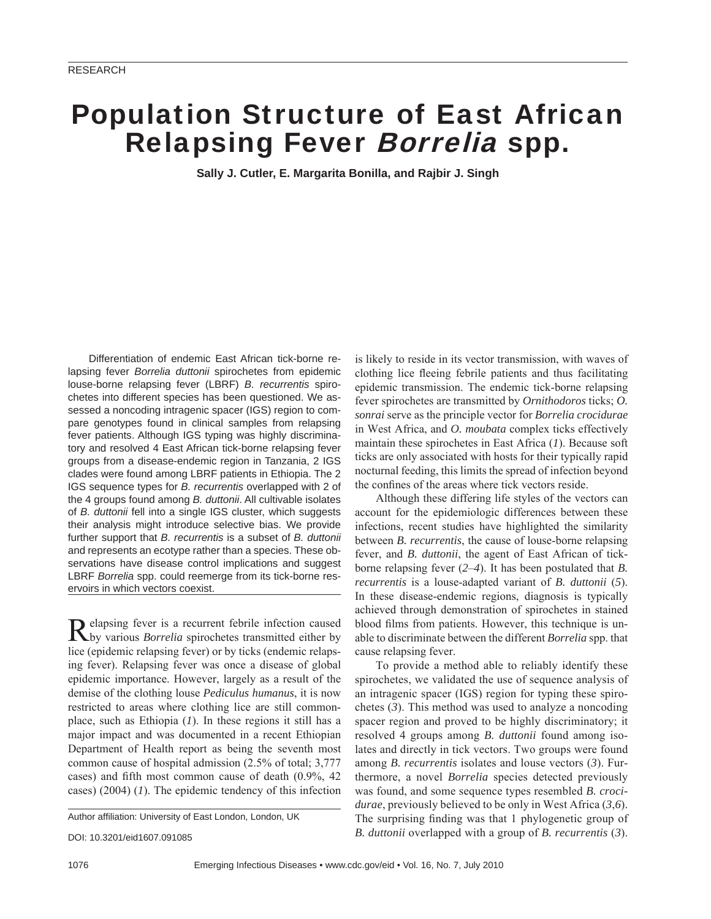# Population Structure of East African Relapsing Fever Borrelia spp.

**Sally J. Cutler, E. Margarita Bonilla, and Rajbir J. Singh**

Differentiation of endemic East African tick-borne relapsing fever *Borrelia duttonii* spirochetes from epidemic louse-borne relapsing fever (LBRF) *B. recurrentis* spirochetes into different species has been questioned. We assessed a noncoding intragenic spacer (IGS) region to compare genotypes found in clinical samples from relapsing fever patients. Although IGS typing was highly discriminatory and resolved 4 East African tick-borne relapsing fever groups from a disease-endemic region in Tanzania, 2 IGS clades were found among LBRF patients in Ethiopia. The 2 IGS sequence types for *B. recurrentis* overlapped with 2 of the 4 groups found among *B. duttonii*. All cultivable isolates of *B. duttonii* fell into a single IGS cluster, which suggests their analysis might introduce selective bias. We provide further support that *B. recurrentis* is a subset of *B. duttonii* and represents an ecotype rather than a species. These observations have disease control implications and suggest LBRF *Borrelia* spp. could reemerge from its tick-borne reservoirs in which vectors coexist.

Relapsing fever is a recurrent febrile infection caused by various *Borrelia* spirochetes transmitted either by lice (epidemic relapsing fever) or by ticks (endemic relapsing fever). Relapsing fever was once a disease of global epidemic importance. However, largely as a result of the demise of the clothing louse *Pediculus humanus*, it is now restricted to areas where clothing lice are still commonplace, such as Ethiopia (*1*). In these regions it still has a major impact and was documented in a recent Ethiopian Department of Health report as being the seventh most common cause of hospital admission (2.5% of total; 3,777 cases) and fifth most common cause of death  $(0.9\%, 42)$ cases) (2004) (*1*). The epidemic tendency of this infection

Author affiliation: University of East London, London, UK

DOI: 10.3201/eid1607.091085

is likely to reside in its vector transmission, with waves of clothing lice fleeing febrile patients and thus facilitating epidemic transmission. The endemic tick-borne relapsing fever spirochetes are transmitted by *Ornithodoros* ticks; *O. sonrai* serve as the principle vector for *Borrelia crocidurae* in West Africa, and *O. moubata* complex ticks effectively maintain these spirochetes in East Africa (*1*). Because soft ticks are only associated with hosts for their typically rapid nocturnal feeding, this limits the spread of infection beyond the confines of the areas where tick vectors reside.

Although these differing life styles of the vectors can account for the epidemiologic differences between these infections, recent studies have highlighted the similarity between *B. recurrentis*, the cause of louse-borne relapsing fever, and *B. duttonii*, the agent of East African of tickborne relapsing fever (*2*–*4*). It has been postulated that *B. recurrentis* is a louse-adapted variant of *B. duttonii* (*5*). In these disease-endemic regions, diagnosis is typically achieved through demonstration of spirochetes in stained blood films from patients. However, this technique is unable to discriminate between the different *Borrelia* spp. that cause relapsing fever.

To provide a method able to reliably identify these spirochetes, we validated the use of sequence analysis of an intragenic spacer (IGS) region for typing these spirochetes (*3*). This method was used to analyze a noncoding spacer region and proved to be highly discriminatory; it resolved 4 groups among *B. duttonii* found among isolates and directly in tick vectors. Two groups were found among *B. recurrentis* isolates and louse vectors (*3*). Furthermore, a novel *Borrelia* species detected previously was found, and some sequence types resembled *B. crocidurae*, previously believed to be only in West Africa (*3*,*6*). The surprising finding was that 1 phylogenetic group of *B. duttonii* overlapped with a group of *B. recurrentis* (*3*).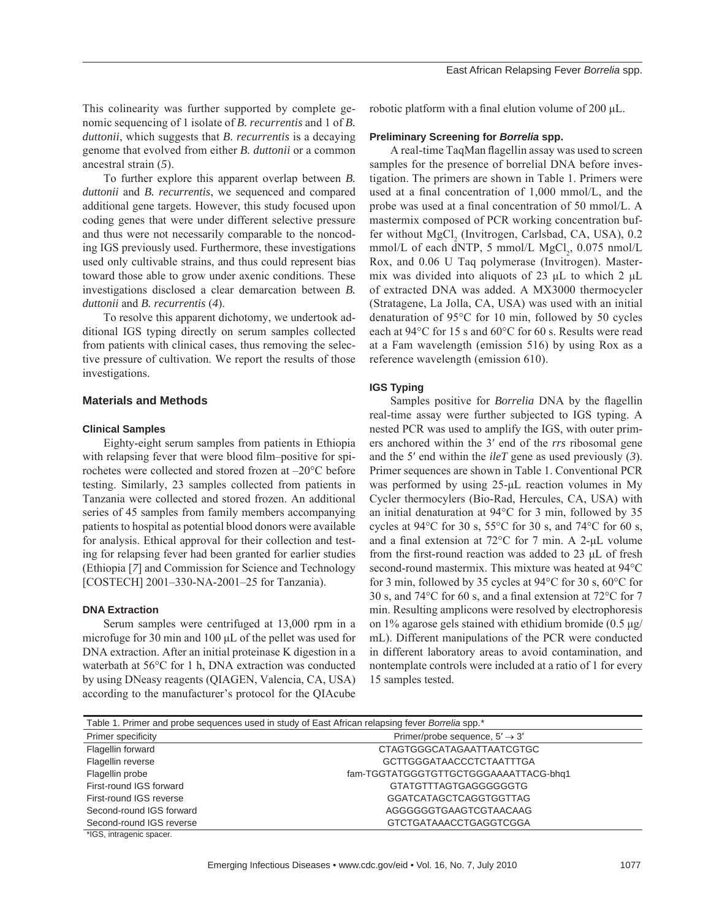This colinearity was further supported by complete genomic sequencing of 1 isolate of *B. recurrentis* and 1 of *B. duttonii*, which suggests that *B. recurrentis* is a decaying genome that evolved from either *B. duttonii* or a common ancestral strain (*5*).

To further explore this apparent overlap between *B. duttonii* and *B. recurrentis*, we sequenced and compared additional gene targets. However, this study focused upon coding genes that were under different selective pressure and thus were not necessarily comparable to the noncoding IGS previously used. Furthermore, these investigations used only cultivable strains, and thus could represent bias toward those able to grow under axenic conditions. These investigations disclosed a clear demarcation between *B. duttonii* and *B. recurrentis* (*4*).

To resolve this apparent dichotomy, we undertook additional IGS typing directly on serum samples collected from patients with clinical cases, thus removing the selective pressure of cultivation. We report the results of those investigations.

## **Materials and Methods**

## **Clinical Samples**

Eighty-eight serum samples from patients in Ethiopia with relapsing fever that were blood film–positive for spirochetes were collected and stored frozen at –20°C before testing. Similarly, 23 samples collected from patients in Tanzania were collected and stored frozen. An additional series of 45 samples from family members accompanying patients to hospital as potential blood donors were available for analysis. Ethical approval for their collection and testing for relapsing fever had been granted for earlier studies (Ethiopia [*7*] and Commission for Science and Technology [COSTECH] 2001–330-NA-2001–25 for Tanzania).

#### **DNA Extraction**

Serum samples were centrifuged at 13,000 rpm in a microfuge for 30 min and 100 μL of the pellet was used for DNA extraction. After an initial proteinase K digestion in a waterbath at 56°C for 1 h, DNA extraction was conducted by using DNeasy reagents (QIAGEN, Valencia, CA, USA) according to the manufacturer's protocol for the QIAcube

robotic platform with a final elution volume of 200  $μ$ L.

#### **Preliminary Screening for** *Borrelia* **spp.**

A real-time TaqMan flagellin assay was used to screen samples for the presence of borrelial DNA before investigation. The primers are shown in Table 1. Primers were used at a final concentration of  $1,000$  mmol/L, and the probe was used at a final concentration of 50 mmol/L. A mastermix composed of PCR working concentration buffer without MgCl<sub>2</sub> (Invitrogen, Carlsbad, CA, USA), 0.2  $mmol/L$  of each dNTP, 5  $mmol/L$   $MgCl<sub>2</sub>$ , 0.075  $mmol/L$ Rox, and 0.06 U Taq polymerase (Invitrogen). Mastermix was divided into aliquots of 23 μL to which 2 μL of extracted DNA was added. A MX3000 thermocycler (Stratagene, La Jolla, CA, USA) was used with an initial denaturation of 95°C for 10 min, followed by 50 cycles each at 94°C for 15 s and 60°C for 60 s. Results were read at a Fam wavelength (emission 516) by using Rox as a reference wavelength (emission 610).

#### **IGS Typing**

Samples positive for *Borrelia* DNA by the flagellin real-time assay were further subjected to IGS typing. A nested PCR was used to amplify the IGS, with outer primers anchored within the 3′ end of the *rrs* ribosomal gene and the 5′ end within the *ileT* gene as used previously (*3*). Primer sequences are shown in Table 1. Conventional PCR was performed by using 25-μL reaction volumes in My Cycler thermocylers (Bio-Rad, Hercules, CA, USA) with an initial denaturation at 94°C for 3 min, followed by 35 cycles at 94 $\degree$ C for 30 s, 55 $\degree$ C for 30 s, and 74 $\degree$ C for 60 s, and a final extension at  $72^{\circ}$ C for 7 min. A 2-μL volume from the first-round reaction was added to 23 μL of fresh second-round mastermix. This mixture was heated at 94°C for 3 min, followed by 35 cycles at 94°C for 30 s, 60°C for 30 s, and 74 $\degree$ C for 60 s, and a final extension at 72 $\degree$ C for 7 min. Resulting amplicons were resolved by electrophoresis on 1% agarose gels stained with ethidium bromide (0.5 μg/ mL). Different manipulations of the PCR were conducted in different laboratory areas to avoid contamination, and nontemplate controls were included at a ratio of 1 for every 15 samples tested.

| Table 1. Primer and probe sequences used in study of East African relapsing fever Borrelia spp.* |                                            |  |  |
|--------------------------------------------------------------------------------------------------|--------------------------------------------|--|--|
| Primer specificity                                                                               | Primer/probe sequence, $5' \rightarrow 3'$ |  |  |
| Flagellin forward                                                                                | CTAGTGGGCATAGAATTAATCGTGC                  |  |  |
| Flagellin reverse                                                                                | <b>GCTTGGGATAACCCTCTAATTTGA</b>            |  |  |
| Flagellin probe                                                                                  | fam-TGGTATGGGTGTTGCTGGGAAAATTACG-bhq1      |  |  |
| First-round IGS forward                                                                          | GTATGTTTAGTGAGGGGGGTG                      |  |  |
| First-round IGS reverse                                                                          | <b>GGATCATAGCTCAGGTGGTTAG</b>              |  |  |
| Second-round IGS forward                                                                         | AGGGGGGTGAAGTCGTAACAAG                     |  |  |
| Second-round IGS reverse                                                                         | GTCTGATAAACCTGAGGTCGGA                     |  |  |
| $*IOC$ introducio opener                                                                         |                                            |  |  |

GS, intragenic spa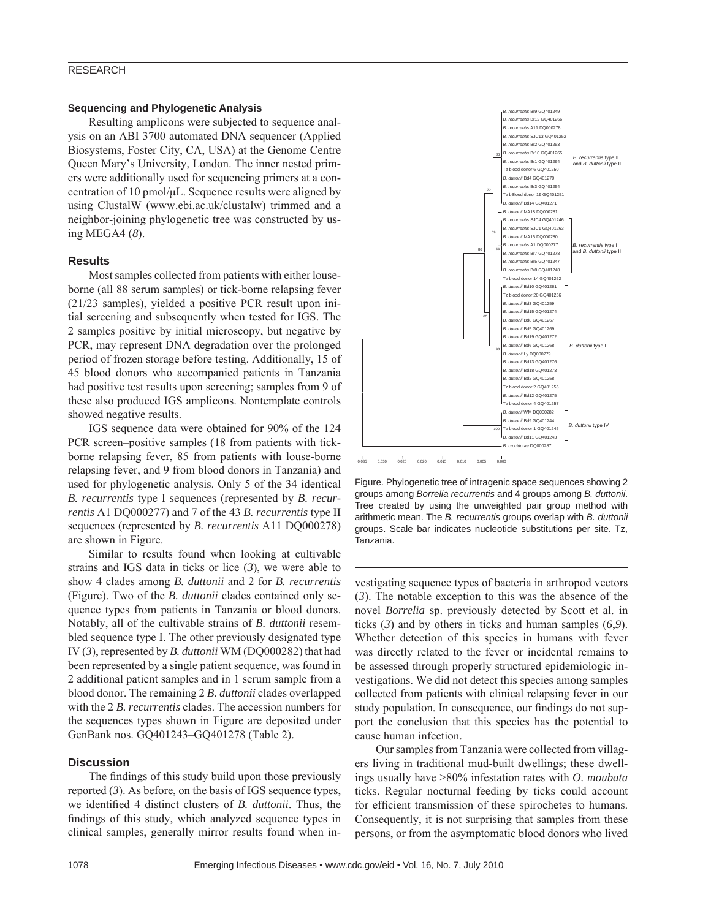# RESEARCH

## **Sequencing and Phylogenetic Analysis**

Resulting amplicons were subjected to sequence analysis on an ABI 3700 automated DNA sequencer (Applied Biosystems, Foster City, CA, USA) at the Genome Centre Queen Mary's University, London. The inner nested primers were additionally used for sequencing primers at a concentration of 10 pmol/μL. Sequence results were aligned by using ClustalW (www.ebi.ac.uk/clustalw) trimmed and a neighbor-joining phylogenetic tree was constructed by using MEGA4 (*8*).

## **Results**

Most samples collected from patients with either louseborne (all 88 serum samples) or tick-borne relapsing fever (21/23 samples), yielded a positive PCR result upon initial screening and subsequently when tested for IGS. The 2 samples positive by initial microscopy, but negative by PCR, may represent DNA degradation over the prolonged period of frozen storage before testing. Additionally, 15 of 45 blood donors who accompanied patients in Tanzania had positive test results upon screening; samples from 9 of these also produced IGS amplicons. Nontemplate controls showed negative results.

IGS sequence data were obtained for 90% of the 124 PCR screen–positive samples (18 from patients with tickborne relapsing fever, 85 from patients with louse-borne relapsing fever, and 9 from blood donors in Tanzania) and used for phylogenetic analysis. Only 5 of the 34 identical *B. recurrentis* type I sequences (represented by *B. recurrentis* A1 DQ000277) and 7 of the 43 *B. recurrentis* type II sequences (represented by *B. recurrentis* A11 DQ000278) are shown in Figure.

Similar to results found when looking at cultivable strains and IGS data in ticks or lice (*3*), we were able to show 4 clades among *B. duttonii* and 2 for *B. recurrentis* (Figure). Two of the *B. duttonii* clades contained only sequence types from patients in Tanzania or blood donors. Notably, all of the cultivable strains of *B. duttonii* resembled sequence type I. The other previously designated type IV (*3*), represented by *B. duttonii* WM (DQ000282) that had been represented by a single patient sequence, was found in 2 additional patient samples and in 1 serum sample from a blood donor. The remaining 2 *B. duttonii* clades overlapped with the 2 *B. recurrentis* clades. The accession numbers for the sequences types shown in Figure are deposited under GenBank nos. GQ401243–GQ401278 (Table 2).

#### **Discussion**

The findings of this study build upon those previously reported (*3*). As before, on the basis of IGS sequence types, we identified 4 distinct clusters of *B. duttonii*. Thus, the findings of this study, which analyzed sequence types in clinical samples, generally mirror results found when in-



Figure. Phylogenetic tree of intragenic space sequences showing 2 groups among *Borrelia recurrentis* and 4 groups among *B. duttonii*. Tree created by using the unweighted pair group method with arithmetic mean. The *B. recurrentis* groups overlap with *B. duttonii* groups. Scale bar indicates nucleotide substitutions per site. Tz, Tanzania.

vestigating sequence types of bacteria in arthropod vectors (*3*). The notable exception to this was the absence of the novel *Borrelia* sp. previously detected by Scott et al. in ticks (*3*) and by others in ticks and human samples (*6*,*9*). Whether detection of this species in humans with fever was directly related to the fever or incidental remains to be assessed through properly structured epidemiologic investigations. We did not detect this species among samples collected from patients with clinical relapsing fever in our study population. In consequence, our findings do not support the conclusion that this species has the potential to cause human infection.

Our samples from Tanzania were collected from villagers living in traditional mud-built dwellings; these dwellings usually have >80% infestation rates with *O. moubata* ticks. Regular nocturnal feeding by ticks could account for efficient transmission of these spirochetes to humans. Consequently, it is not surprising that samples from these persons, or from the asymptomatic blood donors who lived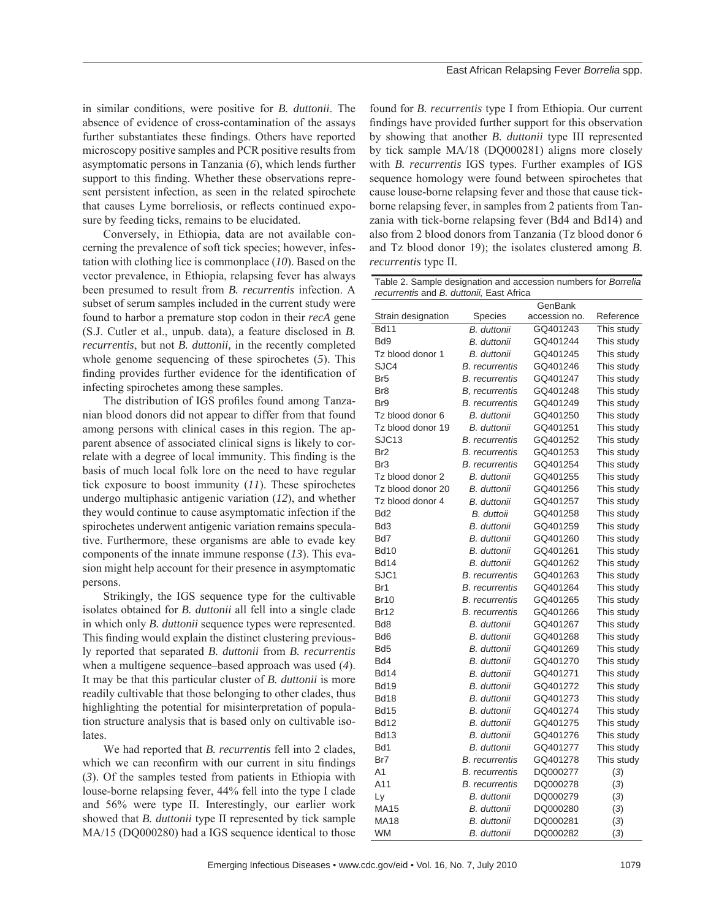in similar conditions, were positive for *B. duttonii*. The absence of evidence of cross-contamination of the assays further substantiates these findings. Others have reported microscopy positive samples and PCR positive results from asymptomatic persons in Tanzania (*6*), which lends further support to this finding. Whether these observations represent persistent infection, as seen in the related spirochete that causes Lyme borreliosis, or reflects continued exposure by feeding ticks, remains to be elucidated.

Conversely, in Ethiopia, data are not available concerning the prevalence of soft tick species; however, infestation with clothing lice is commonplace (*10*). Based on the vector prevalence, in Ethiopia, relapsing fever has always been presumed to result from *B. recurrentis* infection. A subset of serum samples included in the current study were found to harbor a premature stop codon in their *recA* gene (S.J. Cutler et al., unpub. data), a feature disclosed in *B. recurrentis*, but not *B. duttonii,* in the recently completed whole genome sequencing of these spirochetes (*5*). This finding provides further evidence for the identification of infecting spirochetes among these samples.

The distribution of IGS profiles found among Tanzanian blood donors did not appear to differ from that found among persons with clinical cases in this region. The apparent absence of associated clinical signs is likely to correlate with a degree of local immunity. This finding is the basis of much local folk lore on the need to have regular tick exposure to boost immunity (*11*). These spirochetes undergo multiphasic antigenic variation (*12*), and whether they would continue to cause asymptomatic infection if the spirochetes underwent antigenic variation remains speculative. Furthermore, these organisms are able to evade key components of the innate immune response (*13*). This evasion might help account for their presence in asymptomatic persons.

Strikingly, the IGS sequence type for the cultivable isolates obtained for *B. duttonii* all fell into a single clade in which only *B. duttonii* sequence types were represented. This finding would explain the distinct clustering previously reported that separated *B. duttonii* from *B. recurrentis* when a multigene sequence–based approach was used (*4*). It may be that this particular cluster of *B. duttonii* is more readily cultivable that those belonging to other clades, thus highlighting the potential for misinterpretation of population structure analysis that is based only on cultivable isolates.

We had reported that *B. recurrentis* fell into 2 clades, which we can reconfirm with our current in situ findings (*3*). Of the samples tested from patients in Ethiopia with louse-borne relapsing fever, 44% fell into the type I clade and 56% were type II. Interestingly, our earlier work showed that *B. duttonii* type II represented by tick sample MA/15 (DQ000280) had a IGS sequence identical to those found for *B. recurrentis* type I from Ethiopia. Our current findings have provided further support for this observation by showing that another *B. duttonii* type III represented by tick sample MA/18 (DQ000281) aligns more closely with *B. recurrentis* IGS types. Further examples of IGS sequence homology were found between spirochetes that cause louse-borne relapsing fever and those that cause tickborne relapsing fever, in samples from 2 patients from Tanzania with tick-borne relapsing fever (Bd4 and Bd14) and also from 2 blood donors from Tanzania (Tz blood donor 6 and Tz blood donor 19); the isolates clustered among *B. recurrentis* type II.

Table 2. Sample designation and accession numbers for *Borrelia recurrentis* and *B. duttonii,* East Africa

|                    |                       | GenBank       |            |
|--------------------|-----------------------|---------------|------------|
| Strain designation | <b>Species</b>        | accession no. | Reference  |
| <b>Bd11</b>        | B. duttonii           | GQ401243      | This study |
| Bd9                | B. duttonii           | GQ401244      | This study |
| Tz blood donor 1   | B. duttonii           | GQ401245      | This study |
| SJC4               | B. recurrentis        | GQ401246      | This study |
| Br5                | B. recurrentis        | GQ401247      | This study |
| Br8                | <b>B.</b> recurrentis | GQ401248      | This study |
| Br9                | <b>B.</b> recurrentis | GQ401249      | This study |
| Tz blood donor 6   | B. duttonii           | GQ401250      | This study |
| Tz blood donor 19  | B. duttonii           | GQ401251      | This study |
| SJC <sub>13</sub>  | <b>B.</b> recurrentis | GQ401252      | This study |
| Br <sub>2</sub>    | <b>B.</b> recurrentis | GQ401253      | This study |
| Br <sub>3</sub>    | <b>B.</b> recurrentis | GQ401254      | This study |
| Tz blood donor 2   | B. duttonii           | GQ401255      | This study |
| Tz blood donor 20  | B. duttonii           | GQ401256      | This study |
| Tz blood donor 4   | B. duttonii           | GQ401257      | This study |
| Bd <sub>2</sub>    | B. duttoii            | GQ401258      | This study |
| Bd <sub>3</sub>    | B. duttonii           | GQ401259      | This study |
| Bd7                | B. duttonii           | GQ401260      | This study |
| <b>Bd10</b>        | B. duttonii           | GQ401261      | This study |
| <b>Bd14</b>        | B. duttonii           | GQ401262      | This study |
| SJC1               | B. recurrentis        | GQ401263      | This study |
| Br1                | <i>B. recurrentis</i> | GQ401264      | This study |
| Br10               | B. recurrentis        | GQ401265      | This study |
| <b>Br12</b>        | B. recurrentis        | GQ401266      | This study |
| Bd8                | B. duttonii           | GQ401267      | This study |
| Bd6                | B. duttonii           | GQ401268      | This study |
| Bd5                | B. duttonii           | GQ401269      | This study |
| Bd4                | B. duttonii           | GQ401270      | This study |
| <b>Bd14</b>        | B. duttonii           | GQ401271      | This study |
| Bd19               | B. duttonii           | GQ401272      | This study |
| Bd18               | B. duttonii           | GQ401273      | This study |
| <b>Bd15</b>        | B. duttonii           | GQ401274      | This study |
| <b>Bd12</b>        | B. duttonii           | GQ401275      | This study |
| <b>Bd13</b>        | B. duttonii           | GQ401276      | This study |
| Bd1                | B. duttonii           | GQ401277      | This study |
| Br7                | <b>B.</b> recurrentis | GQ401278      | This study |
| A <sub>1</sub>     | <b>B.</b> recurrentis | DQ000277      | (3)        |
| A11                | B. recurrentis        | DQ000278      | (3)        |
| Ly                 | B. duttonii           | DQ000279      | (3)        |
| MA15               | B. duttonii           | DQ000280      | (3)        |
| <b>MA18</b>        | B. duttonii           | DQ000281      | (3)        |
| <b>WM</b>          | B. duttonii           | DQ000282      | (3)        |